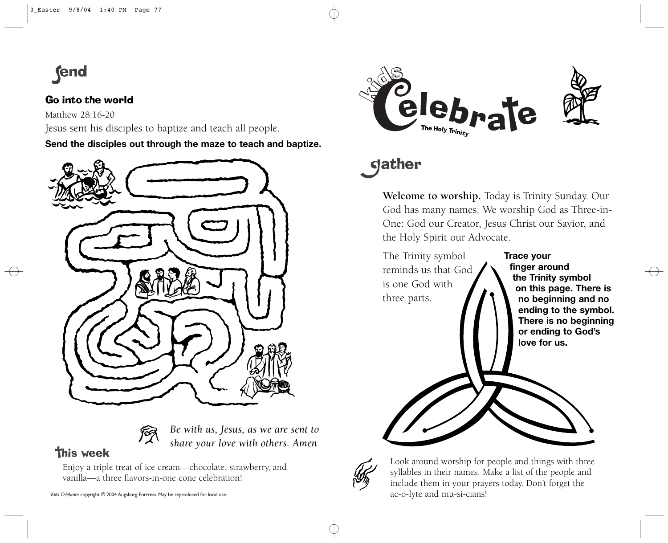

## Go into the world

Matthew 28:16-20

Jesus sent his disciples to baptize and teach all people.

**Send the disciples out through the maze to teach and baptize.**



*Be with us, Jesus, as we are sent to share your love with others. Amen*

**This week** 

Enjoy a triple treat of ice cream—chocolate, strawberry, and vanilla—a three flavors-in-one cone celebration!



## **gather**

**Welcome to worship.** Today is Trinity Sunday. Our God has many names. We worship God as Three-in-One: God our Creator, Jesus Christ our Savior, and the Holy Spirit our Advocate.





Look around worship for people and things with three syllables in their names. Make a list of the people and include them in your prayers today. Don't forget the ac-o-lyte and mu-si-cians!